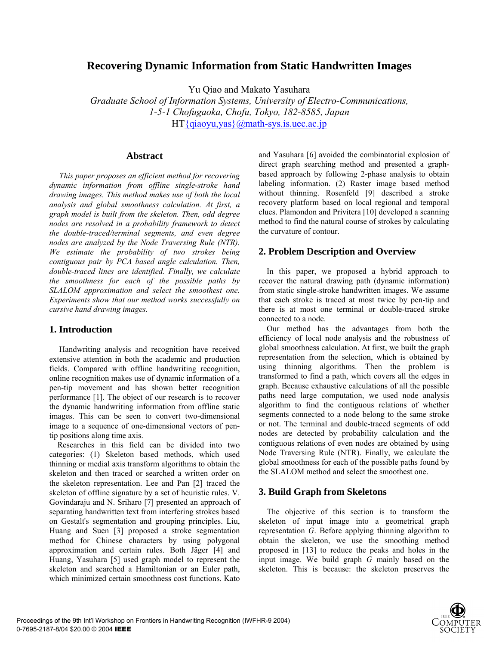# **Recovering Dynamic Information from Static Handwritten Images**

Yu Qiao and Makato Yasuhara

*Graduate School of Information Systems, University of Electro-Communications, 1-5-1 Chofugaoka, Chofu, Tokyo, 182-8585, Japan*   $HT$ {qiaoyu,yas}@math-sys.is.uec.ac.jp

## **Abstract**

*This paper proposes an efficient method for recovering dynamic information from offline single-stroke hand drawing images. This method makes use of both the local analysis and global smoothness calculation. At first, a graph model is built from the skeleton. Then, odd degree nodes are resolved in a probability framework to detect the double-traced/terminal segments, and even degree nodes are analyzed by the Node Traversing Rule (NTR). We estimate the probability of two strokes being contiguous pair by PCA based angle calculation. Then, double-traced lines are identified. Finally, we calculate the smoothness for each of the possible paths by SLALOM approximation and select the smoothest one. Experiments show that our method works successfully on cursive hand drawing images.* 

## **1. Introduction**

Handwriting analysis and recognition have received extensive attention in both the academic and production fields. Compared with offline handwriting recognition, online recognition makes use of dynamic information of a pen-tip movement and has shown better recognition performance [1]. The object of our research is to recover the dynamic handwriting information from offline static images. This can be seen to convert two-dimensional image to a sequence of one-dimensional vectors of pentip positions along time axis.

 Researches in this field can be divided into two categories: (1) Skeleton based methods, which used thinning or medial axis transform algorithms to obtain the skeleton and then traced or searched a written order on the skeleton representation. Lee and Pan [2] traced the skeleton of offline signature by a set of heuristic rules. V. Govindaraju and N. Sriharo [7] presented an approach of separating handwritten text from interfering strokes based on Gestalt's segmentation and grouping principles. Liu, Huang and Suen [3] proposed a stroke segmentation method for Chinese characters by using polygonal approximation and certain rules. Both Jäger [4] and Huang, Yasuhara [5] used graph model to represent the skeleton and searched a Hamiltonian or an Euler path, which minimized certain smoothness cost functions. Kato

and Yasuhara [6] avoided the combinatorial explosion of direct graph searching method and presented a graphbased approach by following 2-phase analysis to obtain labeling information. (2) Raster image based method without thinning. Rosenfeld [9] described a stroke recovery platform based on local regional and temporal clues. Plamondon and Privitera [10] developed a scanning method to find the natural course of strokes by calculating the curvature of contour.

## **2. Problem Description and Overview**

In this paper, we proposed a hybrid approach to recover the natural drawing path (dynamic information) from static single-stroke handwritten images. We assume that each stroke is traced at most twice by pen-tip and there is at most one terminal or double-traced stroke connected to a node.

Our method has the advantages from both the efficiency of local node analysis and the robustness of global smoothness calculation. At first, we built the graph representation from the selection, which is obtained by using thinning algorithms. Then the problem is transformed to find a path, which covers all the edges in graph. Because exhaustive calculations of all the possible paths need large computation, we used node analysis algorithm to find the contiguous relations of whether segments connected to a node belong to the same stroke or not. The terminal and double-traced segments of odd nodes are detected by probability calculation and the contiguous relations of even nodes are obtained by using Node Traversing Rule (NTR). Finally, we calculate the global smoothness for each of the possible paths found by the SLALOM method and select the smoothest one.

## **3. Build Graph from Skeletons**

The objective of this section is to transform the skeleton of input image into a geometrical graph representation *G*. Before applying thinning algorithm to obtain the skeleton, we use the smoothing method proposed in [13] to reduce the peaks and holes in the input image. We build graph *G* mainly based on the skeleton. This is because: the skeleton preserves the

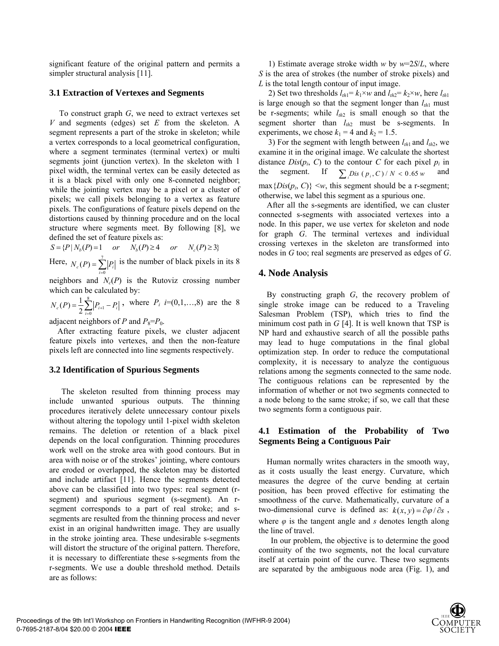significant feature of the original pattern and permits a simpler structural analysis [11].

### **3.1 Extraction of Vertexes and Segments**

To construct graph *G*, we need to extract vertexes set *V* and segments (edges) set *E* from the skeleton. A segment represents a part of the stroke in skeleton; while a vertex corresponds to a local geometrical configuration, where a segment terminates (terminal vertex) or multi segments joint (junction vertex). In the skeleton with 1 pixel width, the terminal vertex can be easily detected as it is a black pixel with only one 8-conneted neighbor; while the jointing vertex may be a pixel or a cluster of pixels; we call pixels belonging to a vertex as feature pixels. The configurations of feature pixels depend on the distortions caused by thinning procedure and on the local structure where segments meet. By following [8], we defined the set of feature pixels as:

 $S = {P|N<sub>k</sub>(P) = 1}$  *or*  $N<sub>k</sub>(P) \ge 4$  *or*  $N<sub>s</sub>(P) \ge 3$ 

Here,  $N_c(P) = \sum_{i=0}^{7}$ 0  $(P)$  $N_c(P) = \sum_{i=0}^{r} |P_i|$  is the number of black pixels in its 8

neighbors and  $N_c(P)$  is the Rutoviz crossing number which can be calculated by:

 $=\frac{1}{2}\sum_{i=0}^{8}\left| P_{i+1}\right| (P) = \frac{1}{2} \sum_{i=0}^{8} |P_{i+1}|$  $N_c(P) = \frac{1}{2} \sum_{i=0}^{8} |P_{i+1} - P_i|$ , where  $P_i$  *i*=(0,1,...,8) are the 8

adjacent neighbors of *P* and  $P_8 = P_0$ .

After extracting feature pixels, we cluster adjacent feature pixels into vertexes, and then the non-feature pixels left are connected into line segments respectively.

### **3.2 Identification of Spurious Segments**

The skeleton resulted from thinning process may include unwanted spurious outputs. The thinning procedures iteratively delete unnecessary contour pixels without altering the topology until 1-pixel width skeleton remains. The deletion or retention of a black pixel depends on the local configuration. Thinning procedures work well on the stroke area with good contours. But in area with noise or of the strokes' jointing, where contours are eroded or overlapped, the skeleton may be distorted and include artifact [11]. Hence the segments detected above can be classified into two types: real segment (rsegment) and spurious segment (s-segment). An rsegment corresponds to a part of real stroke; and ssegments are resulted from the thinning process and never exist in an original handwritten image. They are usually in the stroke jointing area. These undesirable s-segments will distort the structure of the original pattern. Therefore, it is necessary to differentiate these s-segments from the r-segments. We use a double threshold method. Details are as follows:

1) Estimate average stroke width *w* by *w*=2*S*/*L*, where *S* is the area of strokes (the number of stroke pixels) and *L* is the total length contour of input image.

2) Set two thresholds  $l_{th1} = k_1 \times w$  and  $l_{th2} = k_2 \times w$ , here  $l_{th1}$ is large enough so that the segment longer than  $l_{th1}$  must be r-segments; while  $l_{th2}$  is small enough so that the segment shorter than  $l_{th2}$  must be s-segments. In experiments, we chose  $k_1 = 4$  and  $k_2 = 1.5$ .

3) For the segment with length between  $l_{th1}$  and  $l_{th2}$ , we examine it in the original image. We calculate the shortest distance  $Dis(p_i, C)$  to the contour *C* for each pixel  $p_i$  in the segment. If  $\sum_{i} Dis(p_i, C) / N < 0.65 w$  and  $max{Dis(p_i, C)} \leq w$ , this segment should be a r-segment; otherwise, we label this segment as a spurious one.

After all the s-segments are identified, we can cluster connected s-segments with associated vertexes into a node. In this paper, we use vertex for skeleton and node for graph *G*. The terminal vertexes and individual crossing vertexes in the skeleton are transformed into nodes in *G* too; real segments are preserved as edges of *G*.

## **4. Node Analysis**

By constructing graph *G*, the recovery problem of single stroke image can be reduced to a Traveling Salesman Problem (TSP), which tries to find the minimum cost path in *G* [4]. It is well known that TSP is NP hard and exhaustive search of all the possible paths may lead to huge computations in the final global optimization step. In order to reduce the computational complexity, it is necessary to analyze the contiguous relations among the segments connected to the same node. The contiguous relations can be represented by the information of whether or not two segments connected to a node belong to the same stroke; if so, we call that these two segments form a contiguous pair.

## **4.1 Estimation of the Probability of Two Segments Being a Contiguous Pair**

Human normally writes characters in the smooth way, as it costs usually the least energy. Curvature, which measures the degree of the curve bending at certain position, has been proved effective for estimating the smoothness of the curve. Mathematically, curvature of a two-dimensional curve is defined as:  $k(x, y) = \frac{\partial \phi}{\partial s}$ , where  $\varphi$  is the tangent angle and *s* denotes length along the line of travel.

In our problem, the objective is to determine the good continuity of the two segments, not the local curvature itself at certain point of the curve. These two segments are separated by the ambiguous node area (Fig. 1), and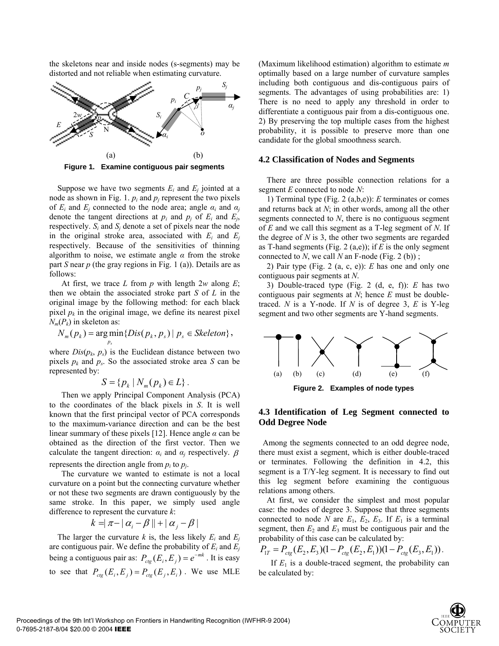the skeletons near and inside nodes (s-segments) may be distorted and not reliable when estimating curvature.



**Figure 1. Examine contiguous pair segments**

Suppose we have two segments  $E_i$  and  $E_j$  jointed at a node as shown in Fig. 1.  $p_i$  and  $p_j$  represent the two pixels of  $E_i$  and  $E_j$  connected to the node area; angle  $\alpha_i$  and  $\alpha_j$ denote the tangent directions at  $p_i$  and  $p_j$  of  $E_i$  and  $E_j$ , respectively.  $S_i$  and  $S_j$  denote a set of pixels near the node in the original stroke area, associated with  $E_i$  and  $E_j$ respectively. Because of the sensitivities of thinning algorithm to noise, we estimate angle  $\alpha$  from the stroke part *S* near *p* (the gray regions in Fig. 1 (a)). Details are as follows:

At first, we trace *L* from *p* with length 2*w* along *E*; then we obtain the associated stroke part *S* of *L* in the original image by the following method: for each black pixel  $p_k$  in the original image, we define its nearest pixel  $N_m(P_k)$  in skeleton as:

$$
N_m(p_k) = \underset{p_s}{\arg\min} \{ Dis(p_k, p_s) | p_s \in Skeleton\},
$$

where  $Dis(p_k, p_s)$  is the Euclidean distance between two pixels  $p_k$  and  $p_s$ . So the associated stroke area *S* can be represented by:

$$
S = \{p_k \mid N_m(p_k) \in L\}.
$$

Then we apply Principal Component Analysis (PCA) to the coordinates of the black pixels in *S*. It is well known that the first principal vector of PCA corresponds to the maximum-variance direction and can be the best linear summary of these pixels [12]. Hence angle *α* can be obtained as the direction of the first vector. Then we calculate the tangent direction:  $\alpha_i$  and  $\alpha_j$  respectively.  $\beta$ represents the direction angle from  $p_i$  to  $p_j$ .

The curvature we wanted to estimate is not a local curvature on a point but the connecting curvature whether or not these two segments are drawn contiguously by the same stroke. In this paper, we simply used angle difference to represent the curvature *k*:

$$
k = |\pi - |\alpha_i - \beta|| + |\alpha_j - \beta|
$$

The larger the curvature  $k$  is, the less likely  $E_i$  and  $E_j$ are contiguous pair. We define the probability of  $E_i$  and  $E_j$ being a contiguous pair as:  $P_{\text{ctg}}(E_i, E_j) = e^{-mk}$ . It is easy to see that  $P_{\text{ctg}}(E_i, E_j) = P_{\text{ctg}}(E_j, E_i)$ . We use MLE (Maximum likelihood estimation) algorithm to estimate *m* optimally based on a large number of curvature samples including both contiguous and dis-contiguous pairs of segments. The advantages of using probabilities are: 1) There is no need to apply any threshold in order to differentiate a contiguous pair from a dis-contiguous one. 2) By preserving the top multiple cases from the highest probability, it is possible to preserve more than one candidate for the global smoothness search.

#### **4.2 Classification of Nodes and Segments**

There are three possible connection relations for a segment *E* connected to node *N*:

1) Terminal type (Fig. 2 (a,b,e)): *E* terminates or comes and returns back at *N*; in other words, among all the other segments connected to *N*, there is no contiguous segment of *E* and we call this segment as a T-leg segment of *N*. If the degree of  $N$  is 3, the other two segments are regarded as T-hand segments (Fig. 2 (a,e)); if *E* is the only segment connected to *N*, we call *N* an F-node (Fig. 2 (b));

2) Pair type (Fig. 2 (a, c, e)): *E* has one and only one contiguous pair segments at *N*.

3) Double-traced type (Fig. 2 (d, e, f)): *E* has two contiguous pair segments at *N*; hence *E* must be doubletraced. *N* is a Y-node. If *N* is of degree 3, *E* is Y-leg segment and two other segments are Y-hand segments.



**Figure 2. Examples of node types**

### **4.3 Identification of Leg Segment connected to Odd Degree Node**

 Among the segments connected to an odd degree node, there must exist a segment, which is either double-traced or terminates. Following the definition in 4.2, this segment is a T/Y-leg segment. It is necessary to find out this leg segment before examining the contiguous relations among others.

At first, we consider the simplest and most popular case: the nodes of degree 3. Suppose that three segments connected to node *N* are  $E_1$ ,  $E_2$ ,  $E_3$ . If  $E_1$  is a terminal segment, then  $E_2$  and  $E_3$  must be contiguous pair and the probability of this case can be calculated by:

$$
P_{1T} = P_{\text{ctg}}(E_2, E_3)(1 - P_{\text{ctg}}(E_2, E_1))(1 - P_{\text{ctg}}(E_3, E_1)).
$$

If  $E_1$  is a double-traced segment, the probability can be calculated by:

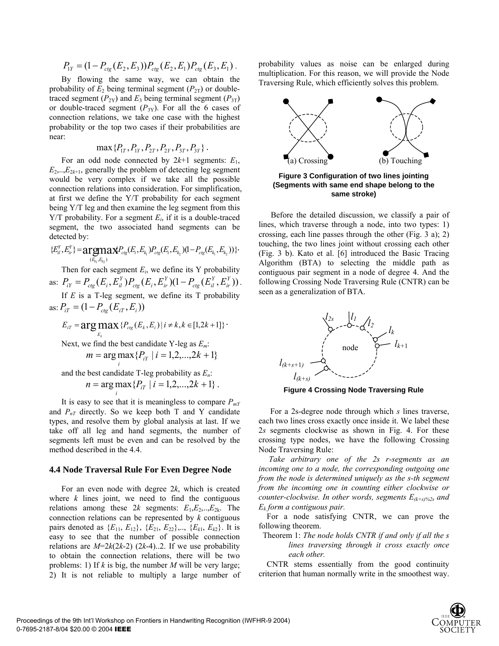$$
P_{1Y} = (1 - P_{\text{ctg}}(E_2, E_3)) P_{\text{ctg}}(E_2, E_1) P_{\text{ctg}}(E_3, E_1).
$$

By flowing the same way, we can obtain the probability of  $E_2$  being terminal segment ( $P_{2T}$ ) or doubletraced segment  $(P_{2Y})$  and  $E_3$  being terminal segment  $(P_{3T})$ or double-traced segment  $(P_{3Y})$ . For all the 6 cases of connection relations, we take one case with the highest probability or the top two cases if their probabilities are near:

$$
\max\{P_{1T}, P_{1Y}, P_{2T}, P_{2Y}, P_{3T}, P_{3Y}\}.
$$

For an odd node connected by  $2k+1$  segments:  $E_1$ ,  $E_2, \ldots, E_{2k+1}$ , generally the problem of detecting leg segment would be very complex if we take all the possible connection relations into consideration. For simplification, at first we define the Y/T probability for each segment being Y/T leg and then examine the leg segment from this Y/T probability. For a segment *Ei*, if it is a double-traced segment, the two associated hand segments can be detected by:

$$
{E_{il}^Y, E_{ir}^Y} = \mathbf{argmax}_{(E_{k_1}, E_{k_2})} P_{cig}(E_i, E_{k_1}) P_{cig}(E_i, E_{k_2}) (1 - P_{cig}(E_{k_1}, E_{k_2})) \}.
$$

Then for each segment  $E_i$ , we define its Y probability as:  $P_{iY} = P_{cig}(E_i, E_{il}^Y) P_{cig}(E_i, E_{ir}^Y) (1 - P_{cig}(E_{il}^Y, E_{ir}^Y))$ . *Y*  $_{ctg}$   $\cup$ <sub>il</sub> *Y*  $_{ctg}$   $\mu_i$ ,  $\mu_i$  $P_{iY} = P_{ctg}(E_i, E_{il}^Y) P_{ctg}(E_i, E_{ir}^Y) (1 - P_{ctg}(E_{il}^Y, E_{il}^Y))$ 

If *E* is a T-leg segment, we define its T probability as:  $P_{iT} = (1 - P_{ctg}(E_{iT}, E_i))$ 

$$
E_{iT} = \arg\max_{E_k} \{ P_{cig}(E_k, E_i) | i \neq k, k \in [1, 2k + 1] \}.
$$
  
Next, we find the best candidate Y-leg as  $E_m$ :  

$$
m = \arg\max_{i} \{ P_{iY} | i = 1, 2, ..., 2k + 1 \}
$$

and the best candidate  $T$ -leg probability as  $E_n$ .  $n = \arg \max_i \{ P_{iT} \mid i = 1, 2, \dots, 2k + 1 \}$ .

It is easy to see that it is meaningless to compare  $P_{mY}$ and  $P_{nT}$  directly. So we keep both T and Y candidate types, and resolve them by global analysis at last. If we take off all leg and hand segments, the number of segments left must be even and can be resolved by the method described in the 4.4.

### **4.4 Node Traversal Rule For Even Degree Node**

For an even node with degree 2*k*, which is created where  $k$  lines joint, we need to find the contiguous relations among these  $2k$  segments:  $E_1, E_2, \ldots, E_{2k}$ . The connection relations can be represented by *k* contiguous pairs denoted as  $\{E_{11}, E_{12}\}, \{E_{21}, E_{22}\}, \ldots, \{E_{k1}, E_{k2}\}.$  It is easy to see that the number of possible connection relations are  $M=2k(2k-2)$  (2*k*-4)..2. If we use probability to obtain the connection relations, there will be two problems: 1) If *k* is big, the number *M* will be very large; 2) It is not reliable to multiply a large number of probability values as noise can be enlarged during multiplication. For this reason, we will provide the Node Traversing Rule, which efficiently solves this problem.



**(Segments with same end shape belong to the same stroke)** 

Before the detailed discussion, we classify a pair of lines, which traverse through a node, into two types: 1) crossing, each line passes through the other (Fig. 3 a); 2) touching, the two lines joint without crossing each other (Fig. 3 b). Kato et al. [6] introduced the Basic Tracing Algorithm (BTA) to selecting the middle path as contiguous pair segment in a node of degree 4. And the following Crossing Node Traversing Rule (CNTR) can be seen as a generalization of BTA.



**Figure 4 Crossing Node Traversing Rule**

For a 2s-degree node through which *s* lines traverse, each two lines cross exactly once inside it. We label these 2*s* segments clockwise as shown in Fig. 4. For these crossing type nodes, we have the following Crossing Node Traversing Rule:

*Take arbitrary one of the 2s r-segments as an incoming one to a node, the corresponding outgoing one from the node is determined uniquely as the s-th segment from the incoming one in counting either clockwise or counter-clockwise. In other words, segments E(k+s)%2s and Ek form a contiguous pair.* 

For a node satisfying CNTR, we can prove the following theorem.

 Theorem 1: *The node holds CNTR if and only if all the s lines traversing through it cross exactly once each other.*

CNTR stems essentially from the good continuity criterion that human normally write in the smoothest way.

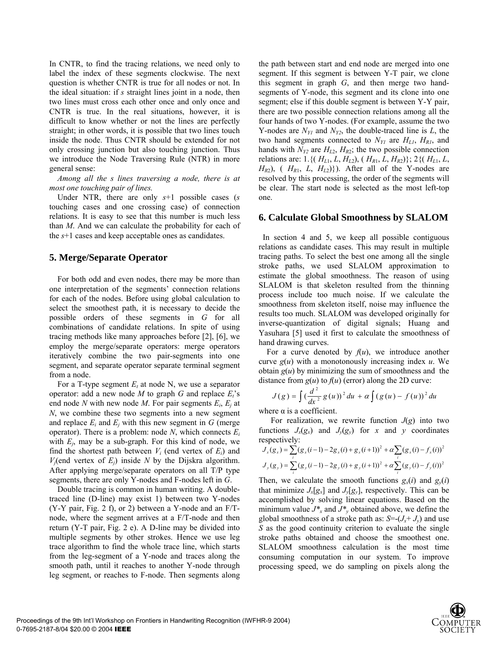In CNTR, to find the tracing relations, we need only to label the index of these segments clockwise. The next question is whether CNTR is true for all nodes or not. In the ideal situation: if *s* straight lines joint in a node, then two lines must cross each other once and only once and CNTR is true. In the real situations, however, it is difficult to know whether or not the lines are perfectly straight; in other words, it is possible that two lines touch inside the node. Thus CNTR should be extended for not only crossing junction but also touching junction. Thus we introduce the Node Traversing Rule (NTR) in more general sense:

*Among all the s lines traversing a node, there is at most one touching pair of lines.* 

Under NTR, there are only *s*+1 possible cases (*s* touching cases and one crossing case) of connection relations. It is easy to see that this number is much less than *M*. And we can calculate the probability for each of the *s*+1 cases and keep acceptable ones as candidates.

### **5. Merge/Separate Operator**

For both odd and even nodes, there may be more than one interpretation of the segments' connection relations for each of the nodes. Before using global calculation to select the smoothest path, it is necessary to decide the possible orders of these segments in *G* for all combinations of candidate relations. In spite of using tracing methods like many approaches before [2], [6], we employ the merge/separate operators: merge operators iteratively combine the two pair-segments into one segment, and separate operator separate terminal segment from a node.

For a T-type segment  $E_t$  at node N, we use a separator operator: add a new node  $M$  to graph  $G$  and replace  $E_t$ 's end node *N* with new node *M*. For pair segments  $E_i$ ,  $E_j$  at *N*, we combine these two segments into a new segment and replace  $E_i$  and  $E_j$  with this new segment in  $G$  (merge operator). There is a problem: node *N*, which connects *Ei* with *Ej*, may be a sub-graph. For this kind of node, we find the shortest path between  $V_i$  (end vertex of  $E_i$ ) and  $V_i$ (end vertex of  $E_i$ ) inside  $N$  by the Dijskra algorithm. After applying merge/separate operators on all T/P type segments, there are only Y-nodes and F-nodes left in *G*.

Double tracing is common in human writing. A doubletraced line (D-line) may exist 1) between two Y-nodes (Y-Y pair, Fig. 2 f), or 2) between a Y-node and an F/Tnode, where the segment arrives at a F/T-node and then return (Y-T pair, Fig. 2 e). A D-line may be divided into multiple segments by other strokes. Hence we use leg trace algorithm to find the whole trace line, which starts from the leg-segment of a Y-node and traces along the smooth path, until it reaches to another Y-node through leg segment, or reaches to F-node. Then segments along

the path between start and end node are merged into one segment. If this segment is between Y-T pair, we clone this segment in graph *G*, and then merge two handsegments of Y-node, this segment and its clone into one segment; else if this double segment is between Y-Y pair, there are two possible connection relations among all the four hands of two Y-nodes. (For example, assume the two Y-nodes are  $N_{Y1}$  and  $N_{Y2}$ , the double-traced line is  $L$ , the two hand segments connected to  $N_{YI}$  are  $H_{LI}$ ,  $H_{RI}$ , and hands with  $N_{Y2}$  are  $H_{L2}$ ,  $H_{R2}$ ; the two possible connection relations are: 1.{( $H_{L1}, L, H_{L2}$ ), ( $H_{R1}, L, H_{R2}$ )}; 2{( $H_{L1}, L$ ,  $H_{R2}$ ), (  $H_{R1}$ , *L*,  $H_{L2}$ )}). After all of the Y-nodes are resolved by this processing, the order of the segments will be clear. The start node is selected as the most left-top one.

### **6. Calculate Global Smoothness by SLALOM**

 In section 4 and 5, we keep all possible contiguous relations as candidate cases. This may result in multiple tracing paths. To select the best one among all the single stroke paths, we used SLALOM approximation to estimate the global smoothness. The reason of using SLALOM is that skeleton resulted from the thinning process include too much noise. If we calculate the smoothness from skeleton itself, noise may influence the results too much. SLALOM was developed originally for inverse-quantization of digital signals; Huang and Yasuhara [5] used it first to calculate the smoothness of hand drawing curves.

For a curve denoted by  $f(u)$ , we introduce another curve *g*(*u*) with a monotonously increasing index *u*. We obtain  $g(u)$  by minimizing the sum of smoothness and the distance from  $g(u)$  to  $f(u)$  (error) along the 2D curve:

$$
J(g) = \int \left(\frac{d^2}{dx^2} g(u)\right)^2 du + \alpha \int \left(g(u) - f(u)\right)^2 du
$$

where  $\alpha$  is a coefficient.

For realization, we rewrite function  $J(g)$  into two functions  $J_x(g_x)$  and  $J_y(g_y)$  for *x* and *y* coordinates respectively:

$$
J_x(g_x) = \sum_{i} (g_x(i-1) - 2g_x(i) + g_x(i+1))^2 + \alpha \sum_{i} (g_x(i) - f_x(i))^2
$$
  

$$
J_y(g_y) = \sum_{i} (g_y(i-1) - 2g_y(i) + g_y(i+1))^2 + \alpha \sum_{i} (g_y(i) - f_y(i))^2
$$

Then, we calculate the smooth functions  $g_x(i)$  and  $g_y(i)$ that minimize  $J_x[g_x]$  and  $J_y[g_y]$ , respectively. This can be accomplished by solving linear equations. Based on the minimum value  $J^*$ <sub>x</sub> and  $J^*$ <sub>y</sub> obtained above, we define the global smoothness of a stroke path as:  $S = (J_x + J_y)$  and use *S* as the good continuity criterion to evaluate the single stroke paths obtained and choose the smoothest one. SLALOM smoothness calculation is the most time consuming computation in our system. To improve processing speed, we do sampling on pixels along the